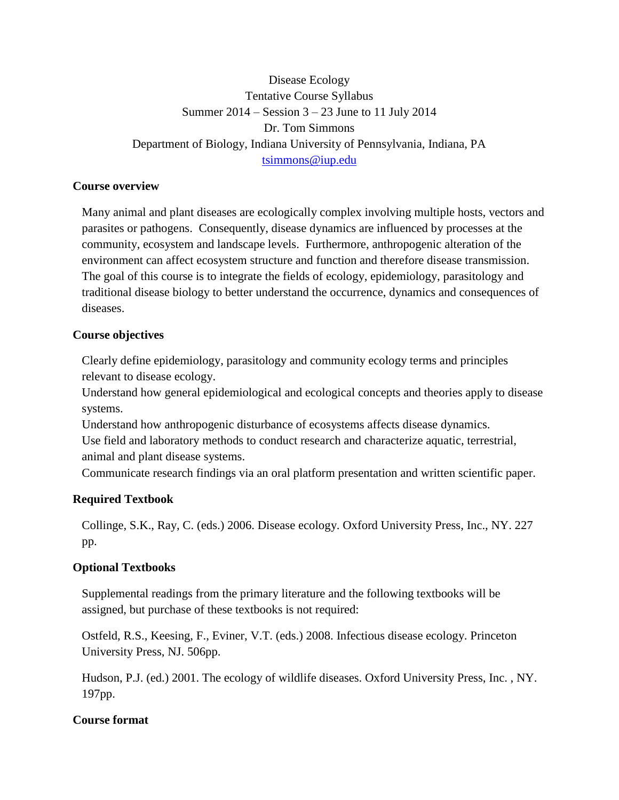# Disease Ecology Tentative Course Syllabus Summer 2014 – Session 3 – 23 June to 11 July 2014 Dr. Tom Simmons Department of Biology, Indiana University of Pennsylvania, Indiana, PA [tsimmons@iup.edu](mailto:tsimmons@iup.edu)

# **Course overview**

Many animal and plant diseases are ecologically complex involving multiple hosts, vectors and parasites or pathogens. Consequently, disease dynamics are influenced by processes at the community, ecosystem and landscape levels. Furthermore, anthropogenic alteration of the environment can affect ecosystem structure and function and therefore disease transmission. The goal of this course is to integrate the fields of ecology, epidemiology, parasitology and traditional disease biology to better understand the occurrence, dynamics and consequences of diseases.

### **Course objectives**

Clearly define epidemiology, parasitology and community ecology terms and principles relevant to disease ecology.

Understand how general epidemiological and ecological concepts and theories apply to disease systems.

Understand how anthropogenic disturbance of ecosystems affects disease dynamics. Use field and laboratory methods to conduct research and characterize aquatic, terrestrial, animal and plant disease systems.

Communicate research findings via an oral platform presentation and written scientific paper.

# **Required Textbook**

Collinge, S.K., Ray, C. (eds.) 2006. Disease ecology. Oxford University Press, Inc., NY. 227 pp.

# **Optional Textbooks**

Supplemental readings from the primary literature and the following textbooks will be assigned, but purchase of these textbooks is not required:

Ostfeld, R.S., Keesing, F., Eviner, V.T. (eds.) 2008. Infectious disease ecology. Princeton University Press, NJ. 506pp.

Hudson, P.J. (ed.) 2001. The ecology of wildlife diseases. Oxford University Press, Inc. , NY. 197pp.

# **Course format**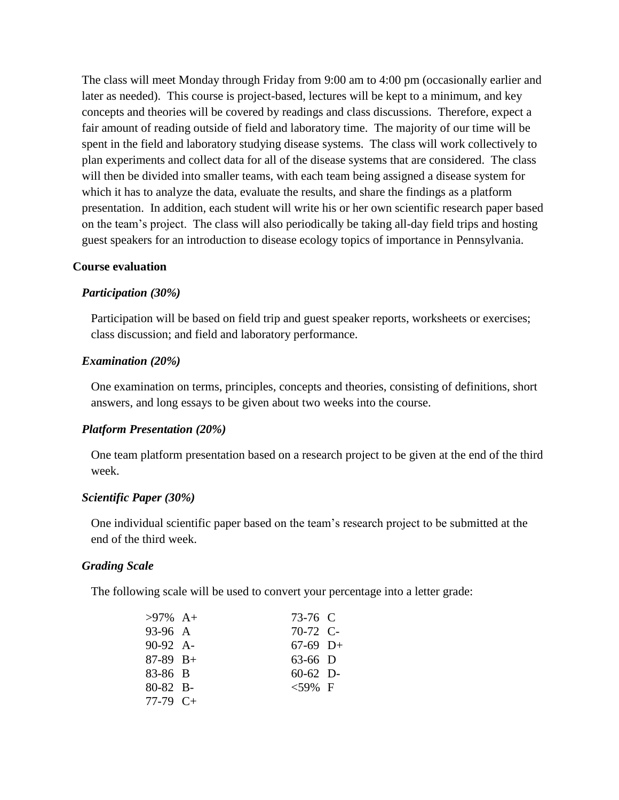The class will meet Monday through Friday from 9:00 am to 4:00 pm (occasionally earlier and later as needed). This course is project-based, lectures will be kept to a minimum, and key concepts and theories will be covered by readings and class discussions. Therefore, expect a fair amount of reading outside of field and laboratory time. The majority of our time will be spent in the field and laboratory studying disease systems. The class will work collectively to plan experiments and collect data for all of the disease systems that are considered. The class will then be divided into smaller teams, with each team being assigned a disease system for which it has to analyze the data, evaluate the results, and share the findings as a platform presentation. In addition, each student will write his or her own scientific research paper based on the team's project. The class will also periodically be taking all-day field trips and hosting guest speakers for an introduction to disease ecology topics of importance in Pennsylvania.

#### **Course evaluation**

#### *Participation (30%)*

Participation will be based on field trip and guest speaker reports, worksheets or exercises; class discussion; and field and laboratory performance.

#### *Examination (20%)*

One examination on terms, principles, concepts and theories, consisting of definitions, short answers, and long essays to be given about two weeks into the course.

#### *Platform Presentation (20%)*

One team platform presentation based on a research project to be given at the end of the third week.

#### *Scientific Paper (30%)*

One individual scientific paper based on the team's research project to be submitted at the end of the third week.

#### *Grading Scale*

The following scale will be used to convert your percentage into a letter grade:

| $>97\%$ A+ | 73-76 C    |  |
|------------|------------|--|
| 93-96 A    | $70-72$ C- |  |
| 90-92 A-   | $67-69$ D+ |  |
| $87-89$ B+ | 63-66 D    |  |
| 83-86 B    | $60-62$ D- |  |
| 80-82 B-   | $<$ 59% F  |  |
| $77-79$ C+ |            |  |